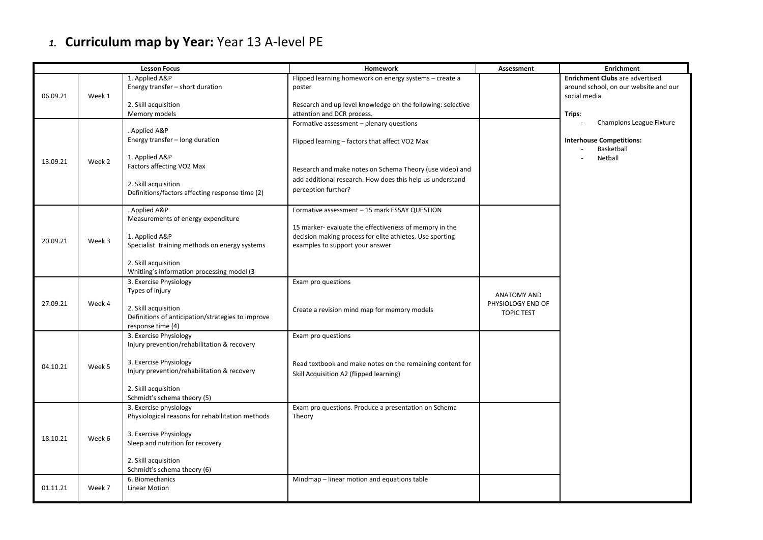## *1.* **Curriculum map by Year:** Year 13 A-level PE

| <b>Lesson Focus</b> |        |                                                                                                | Homework                                                                                                                                              | <b>Assessment</b>                      | <b>Enrichment</b>                                                                                |
|---------------------|--------|------------------------------------------------------------------------------------------------|-------------------------------------------------------------------------------------------------------------------------------------------------------|----------------------------------------|--------------------------------------------------------------------------------------------------|
| 06.09.21            | Week 1 | 1. Applied A&P<br>Energy transfer - short duration                                             | Flipped learning homework on energy systems - create a<br>poster                                                                                      |                                        | <b>Enrichment Clubs</b> are advertised<br>around school, on our website and our<br>social media. |
|                     |        | 2. Skill acquisition<br>Memory models                                                          | Research and up level knowledge on the following: selective<br>attention and DCR process.                                                             |                                        | Trips:                                                                                           |
| 13.09.21            | Week 2 | . Applied A&P<br>Energy transfer - long duration                                               | Formative assessment - plenary questions<br>Flipped learning – factors that affect VO2 Max                                                            |                                        | Champions League Fixture<br><b>Interhouse Competitions:</b><br>Basketball                        |
|                     |        | 1. Applied A&P<br>Factors affecting VO2 Max                                                    | Research and make notes on Schema Theory (use video) and                                                                                              |                                        | Netball                                                                                          |
|                     |        | 2. Skill acquisition<br>Definitions/factors affecting response time (2)                        | add additional research. How does this help us understand<br>perception further?                                                                      |                                        |                                                                                                  |
| 20.09.21            | Week 3 | . Applied A&P<br>Measurements of energy expenditure                                            | Formative assessment - 15 mark ESSAY QUESTION                                                                                                         |                                        |                                                                                                  |
|                     |        | 1. Applied A&P<br>Specialist training methods on energy systems                                | 15 marker- evaluate the effectiveness of memory in the<br>decision making process for elite athletes. Use sporting<br>examples to support your answer |                                        |                                                                                                  |
|                     |        | 2. Skill acquisition<br>Whitling's information processing model (3                             |                                                                                                                                                       |                                        |                                                                                                  |
|                     | Week 4 | 3. Exercise Physiology<br>Types of injury                                                      | Exam pro questions                                                                                                                                    | <b>ANATOMY AND</b>                     |                                                                                                  |
| 27.09.21            |        | 2. Skill acquisition<br>Definitions of anticipation/strategies to improve<br>response time (4) | Create a revision mind map for memory models                                                                                                          | PHYSIOLOGY END OF<br><b>TOPIC TEST</b> |                                                                                                  |
| 04.10.21            | Week 5 | 3. Exercise Physiology<br>Injury prevention/rehabilitation & recovery                          | Exam pro questions                                                                                                                                    |                                        |                                                                                                  |
|                     |        | 3. Exercise Physiology<br>Injury prevention/rehabilitation & recovery                          | Read textbook and make notes on the remaining content for<br>Skill Acquisition A2 (flipped learning)                                                  |                                        |                                                                                                  |
|                     |        | 2. Skill acquisition<br>Schmidt's schema theory (5)                                            |                                                                                                                                                       |                                        |                                                                                                  |
| 18.10.21            | Week 6 | 3. Exercise physiology<br>Physiological reasons for rehabilitation methods                     | Exam pro questions. Produce a presentation on Schema<br>Theory                                                                                        |                                        |                                                                                                  |
|                     |        | 3. Exercise Physiology<br>Sleep and nutrition for recovery                                     |                                                                                                                                                       |                                        |                                                                                                  |
|                     |        | 2. Skill acquisition<br>Schmidt's schema theory (6)                                            |                                                                                                                                                       |                                        |                                                                                                  |
| 01.11.21            | Week 7 | 6. Biomechanics<br><b>Linear Motion</b>                                                        | Mindmap - linear motion and equations table                                                                                                           |                                        |                                                                                                  |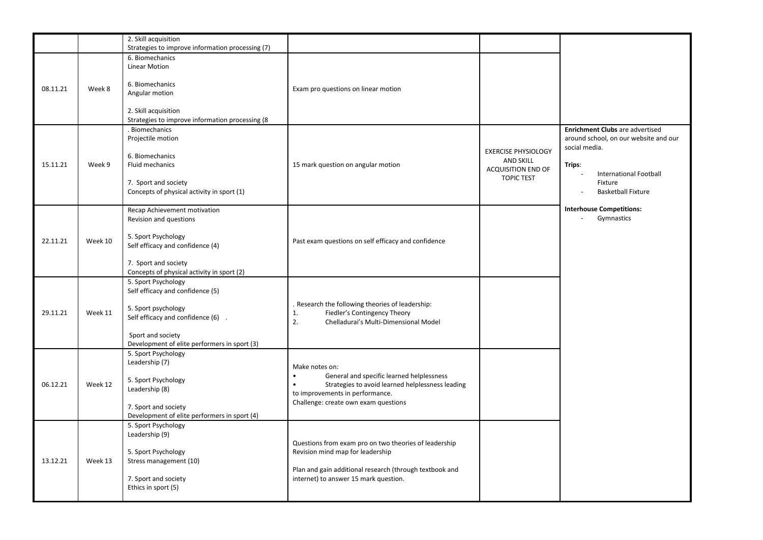|          |         | 2. Skill acquisition<br>Strategies to improve information processing (7)                                                                                                                           |                                                                                                                                                                                                                      |                                                                                                  |                                                                                                                                                                       |
|----------|---------|----------------------------------------------------------------------------------------------------------------------------------------------------------------------------------------------------|----------------------------------------------------------------------------------------------------------------------------------------------------------------------------------------------------------------------|--------------------------------------------------------------------------------------------------|-----------------------------------------------------------------------------------------------------------------------------------------------------------------------|
| 08.11.21 | Week 8  | 6. Biomechanics<br>Linear Motion<br>6. Biomechanics<br>Angular motion<br>2. Skill acquisition                                                                                                      | Exam pro questions on linear motion                                                                                                                                                                                  |                                                                                                  |                                                                                                                                                                       |
| 15.11.21 | Week 9  | Strategies to improve information processing (8<br>. Biomechanics<br>Projectile motion<br>6. Biomechanics<br>Fluid mechanics<br>7. Sport and society<br>Concepts of physical activity in sport (1) | 15 mark question on angular motion                                                                                                                                                                                   | <b>EXERCISE PHYSIOLOGY</b><br><b>AND SKILL</b><br><b>ACQUISITION END OF</b><br><b>TOPIC TEST</b> | Enrichment Clubs are advertised<br>around school, on our website and our<br>social media.<br>Trips:<br>International Football<br>Fixture<br><b>Basketball Fixture</b> |
| 22.11.21 | Week 10 | Recap Achievement motivation<br>Revision and questions<br>5. Sport Psychology<br>Self efficacy and confidence (4)<br>7. Sport and society<br>Concepts of physical activity in sport (2)            | Past exam questions on self efficacy and confidence                                                                                                                                                                  |                                                                                                  | <b>Interhouse Competitions:</b><br>Gymnastics<br>$\overline{\phantom{a}}$                                                                                             |
| 29.11.21 | Week 11 | 5. Sport Psychology<br>Self efficacy and confidence (5)<br>5. Sport psychology<br>Self efficacy and confidence (6) .<br>Sport and society<br>Development of elite performers in sport (3)          | . Research the following theories of leadership:<br>1.<br>Fiedler's Contingency Theory<br>2.<br>Chelladurai's Multi-Dimensional Model                                                                                |                                                                                                  |                                                                                                                                                                       |
| 06.12.21 | Week 12 | 5. Sport Psychology<br>Leadership (7)<br>5. Sport Psychology<br>Leadership (8)<br>7. Sport and society<br>Development of elite performers in sport (4)                                             | Make notes on:<br>$\bullet$<br>General and specific learned helplessness<br>$\bullet$<br>Strategies to avoid learned helplessness leading<br>to improvements in performance.<br>Challenge: create own exam questions |                                                                                                  |                                                                                                                                                                       |
| 13.12.21 | Week 13 | 5. Sport Psychology<br>Leadership (9)<br>5. Sport Psychology<br>Stress management (10)<br>7. Sport and society<br>Ethics in sport (5)                                                              | Questions from exam pro on two theories of leadership<br>Revision mind map for leadership<br>Plan and gain additional research (through textbook and<br>internet) to answer 15 mark question.                        |                                                                                                  |                                                                                                                                                                       |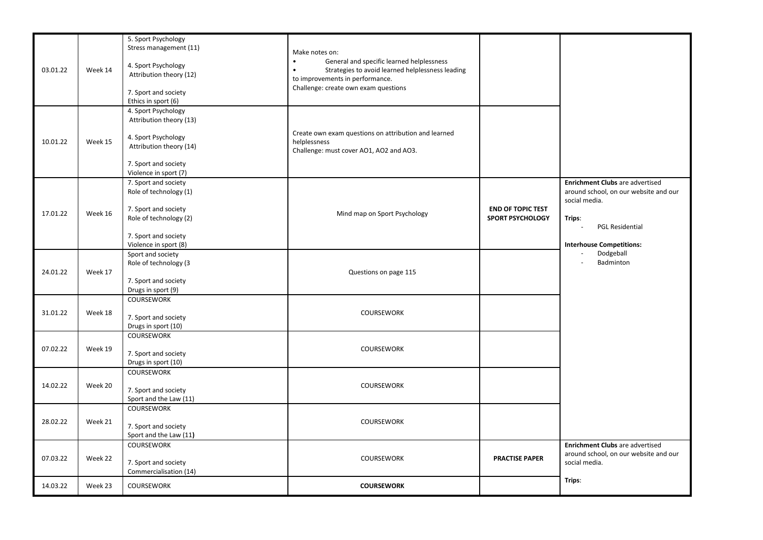| 03.01.22 | Week 14 | 5. Sport Psychology<br>Stress management (11)<br>4. Sport Psychology<br>Attribution theory (12)<br>7. Sport and society<br>Ethics in sport (6)    | Make notes on:<br>$\bullet$<br>General and specific learned helplessness<br>Strategies to avoid learned helplessness leading<br>$\bullet$<br>to improvements in performance.<br>Challenge: create own exam questions |                                                     |                                                                                                                                                                            |
|----------|---------|---------------------------------------------------------------------------------------------------------------------------------------------------|----------------------------------------------------------------------------------------------------------------------------------------------------------------------------------------------------------------------|-----------------------------------------------------|----------------------------------------------------------------------------------------------------------------------------------------------------------------------------|
| 10.01.22 | Week 15 | 4. Sport Psychology<br>Attribution theory (13)<br>4. Sport Psychology<br>Attribution theory (14)<br>7. Sport and society<br>Violence in sport (7) | Create own exam questions on attribution and learned<br>helplessness<br>Challenge: must cover AO1, AO2 and AO3.                                                                                                      |                                                     |                                                                                                                                                                            |
| 17.01.22 | Week 16 | 7. Sport and society<br>Role of technology (1)<br>7. Sport and society<br>Role of technology (2)<br>7. Sport and society<br>Violence in sport (8) | Mind map on Sport Psychology                                                                                                                                                                                         | <b>END OF TOPIC TEST</b><br><b>SPORT PSYCHOLOGY</b> | Enrichment Clubs are advertised<br>around school, on our website and our<br>social media.<br>Trips:<br><b>PGL Residential</b><br>$\sim$<br><b>Interhouse Competitions:</b> |
| 24.01.22 | Week 17 | Sport and society<br>Role of technology (3<br>7. Sport and society<br>Drugs in sport (9)                                                          | Questions on page 115                                                                                                                                                                                                |                                                     | Dodgeball<br>$\blacksquare$<br>Badminton<br>$\overline{a}$                                                                                                                 |
| 31.01.22 | Week 18 | <b>COURSEWORK</b><br>7. Sport and society<br>Drugs in sport (10)                                                                                  | COURSEWORK                                                                                                                                                                                                           |                                                     |                                                                                                                                                                            |
| 07.02.22 | Week 19 | <b>COURSEWORK</b><br>7. Sport and society<br>Drugs in sport (10)                                                                                  | COURSEWORK                                                                                                                                                                                                           |                                                     |                                                                                                                                                                            |
| 14.02.22 | Week 20 | <b>COURSEWORK</b><br>7. Sport and society<br>Sport and the Law (11)                                                                               | <b>COURSEWORK</b>                                                                                                                                                                                                    |                                                     |                                                                                                                                                                            |
| 28.02.22 | Week 21 | <b>COURSEWORK</b><br>7. Sport and society<br>Sport and the Law (11)                                                                               | COURSEWORK                                                                                                                                                                                                           |                                                     |                                                                                                                                                                            |
| 07.03.22 | Week 22 | <b>COURSEWORK</b><br>7. Sport and society<br>Commercialisation (14)                                                                               | <b>COURSEWORK</b>                                                                                                                                                                                                    | <b>PRACTISE PAPER</b>                               | <b>Enrichment Clubs</b> are advertised<br>around school, on our website and our<br>social media.                                                                           |
| 14.03.22 | Week 23 | <b>COURSEWORK</b>                                                                                                                                 | <b>COURSEWORK</b>                                                                                                                                                                                                    |                                                     | Trips:                                                                                                                                                                     |